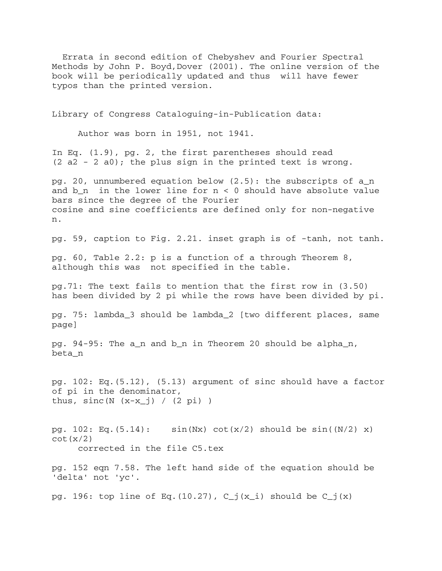Errata in second edition of Chebyshev and Fourier Spectral Methods by John P. Boyd,Dover (2001). The online version of the book will be periodically updated and thus will have fewer typos than the printed version.

Library of Congress Cataloguing-in-Publication data:

Author was born in 1951, not 1941.

In Eq. (1.9), pg. 2, the first parentheses should read  $(2 a2 - 2 a0)$ ; the plus sign in the printed text is wrong.

pg. 20, unnumbered equation below (2.5): the subscripts of a\_n and  $b_n$  in the lower line for  $n < 0$  should have absolute value bars since the degree of the Fourier cosine and sine coefficients are defined only for non-negative n.

pg. 59, caption to Fig. 2.21. inset graph is of -tanh, not tanh.

pg. 60, Table 2.2: p is a function of a through Theorem 8, although this was not specified in the table.

pg.71: The text fails to mention that the first row in (3.50) has been divided by 2 pi while the rows have been divided by pi.

pg. 75: lambda\_3 should be lambda\_2 [two different places, same page]

pg. 94-95: The a\_n and b\_n in Theorem 20 should be alpha\_n, beta\_n

pg. 102: Eq.(5.12), (5.13) argument of sinc should have a factor of pi in the denominator, thus,  $sinc(N (x-x_j) / (2 pi))$ 

pg. 102: Eq.(5.14):  $sin(Nx) cot(x/2) should be sin((N/2) x)$  $\cot(x/2)$ corrected in the file C5.tex

pg. 152 eqn 7.58. The left hand side of the equation should be 'delta' not 'yc'.

pg. 196: top line of Eq.(10.27),  $C_j(x_i)$  should be  $C_j(x)$